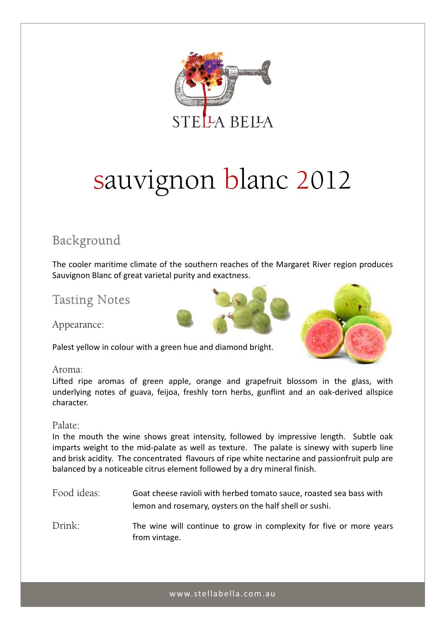

# sauvignon blanc 2012

# Background

The cooler maritime climate of the southern reaches of the Margaret River region produces Sauvignon Blanc of great varietal purity and exactness.

# Tasting Notes

Appearance:

Palest yellow in colour with a green hue and diamond bright.



#### Aroma:

Lifted ripe aromas of green apple, orange and grapefruit blossom in the glass, with underlying notes of guava, feijoa, freshly torn herbs, gunflint and an oak‐derived allspice character.

#### Palate:

In the mouth the wine shows great intensity, followed by impressive length. Subtle oak imparts weight to the mid-palate as well as texture. The palate is sinewy with superb line and brisk acidity. The concentrated flavours of ripe white nectarine and passionfruit pulp are balanced by a noticeable citrus element followed by a dry mineral finish.

- Food ideas: Goat cheese ravioli with herbed tomato sauce, roasted sea bass with lemon and rosemary, oysters on the half shell or sushi.
- Drink: The wine will continue to grow in complexity for five or more years from vintage.